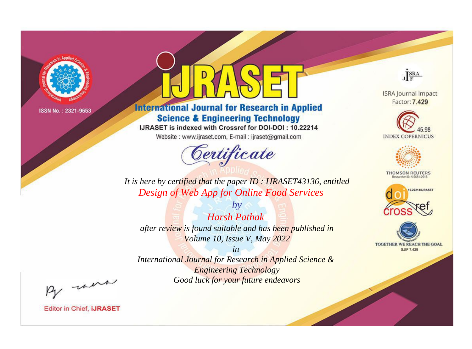

# **International Journal for Research in Applied Science & Engineering Technology**

IJRASET is indexed with Crossref for DOI-DOI: 10.22214

Website: www.ijraset.com, E-mail: ijraset@gmail.com



**ISRA Journal Impact** Factor: 7.429

JERA





**THOMSON REUTERS** 



TOGETHER WE REACH THE GOAL **SJIF 7.429** 

*It is here by certified that the paper ID : IJRASET43136, entitled Design of Web App for Online Food Services*

*by Harsh Pathak after review is found suitable and has been published in Volume 10, Issue V, May 2022*

*in* 

*International Journal for Research in Applied Science & Engineering Technology Good luck for your future endeavors*

By morn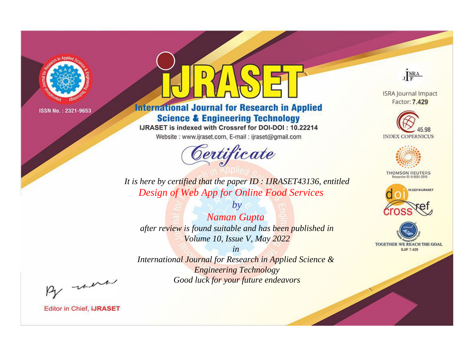

# **International Journal for Research in Applied Science & Engineering Technology**

IJRASET is indexed with Crossref for DOI-DOI: 10.22214

Website: www.ijraset.com, E-mail: ijraset@gmail.com



JERA

**ISRA Journal Impact** Factor: 7.429





**THOMSON REUTERS** 



TOGETHER WE REACH THE GOAL **SJIF 7.429** 

*It is here by certified that the paper ID : IJRASET43136, entitled Design of Web App for Online Food Services*

*by Naman Gupta after review is found suitable and has been published in Volume 10, Issue V, May 2022*

*in* 

*International Journal for Research in Applied Science & Engineering Technology Good luck for your future endeavors*

By morn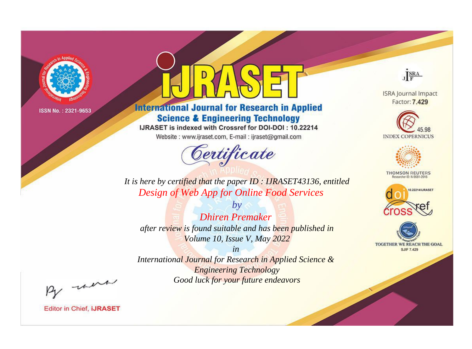

# **International Journal for Research in Applied Science & Engineering Technology**

IJRASET is indexed with Crossref for DOI-DOI: 10.22214

Website: www.ijraset.com, E-mail: ijraset@gmail.com



JERA

**ISRA Journal Impact** Factor: 7.429





**THOMSON REUTERS** 



TOGETHER WE REACH THE GOAL **SJIF 7.429** 

*It is here by certified that the paper ID : IJRASET43136, entitled Design of Web App for Online Food Services*

*by Dhiren Premaker after review is found suitable and has been published in Volume 10, Issue V, May 2022*

*in* 

*International Journal for Research in Applied Science & Engineering Technology Good luck for your future endeavors*

By morn